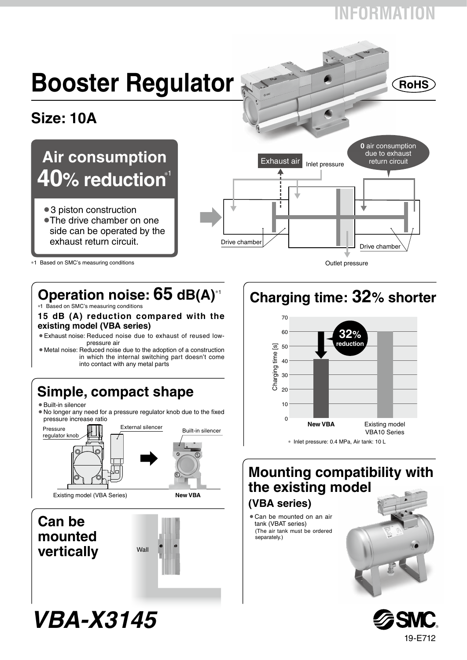# **INFORMATION**

# **Booster Regulator**

## **Size: 10A**

# **Air consumption 40% reduction<sup>∗1</sup>**

• 3 piston construction •The drive chamber on one side can be operated by the exhaust return circuit.



∗1 Based on SMC's measuring conditions

# **Operation noise: 65 dB(A)**<sup>∗</sup><sup>1</sup>

∗1 Based on SMC's measuring conditions

#### **15 dB (A) reduction compared with the existing model (VBA series)**

¡Exhaust noise: Reduced noise due to exhaust of reused lowpressure air

• Metal noise: Reduced noise due to the adoption of a construction in which the internal switching part doesn't come into contact with any metal parts

## **Simple, compact shape**

· Built-in silencer

¡No longer any need for a pressure regulator knob due to the fixed pressure increase ratio





# *VBA-X3145*

# **Charging time: 32% shorter**



## **Mounting compatibility with the existing model**

## **(VBA series)**

• Can be mounted on an air tank (VBAT series) (The air tank must be ordered separately.)